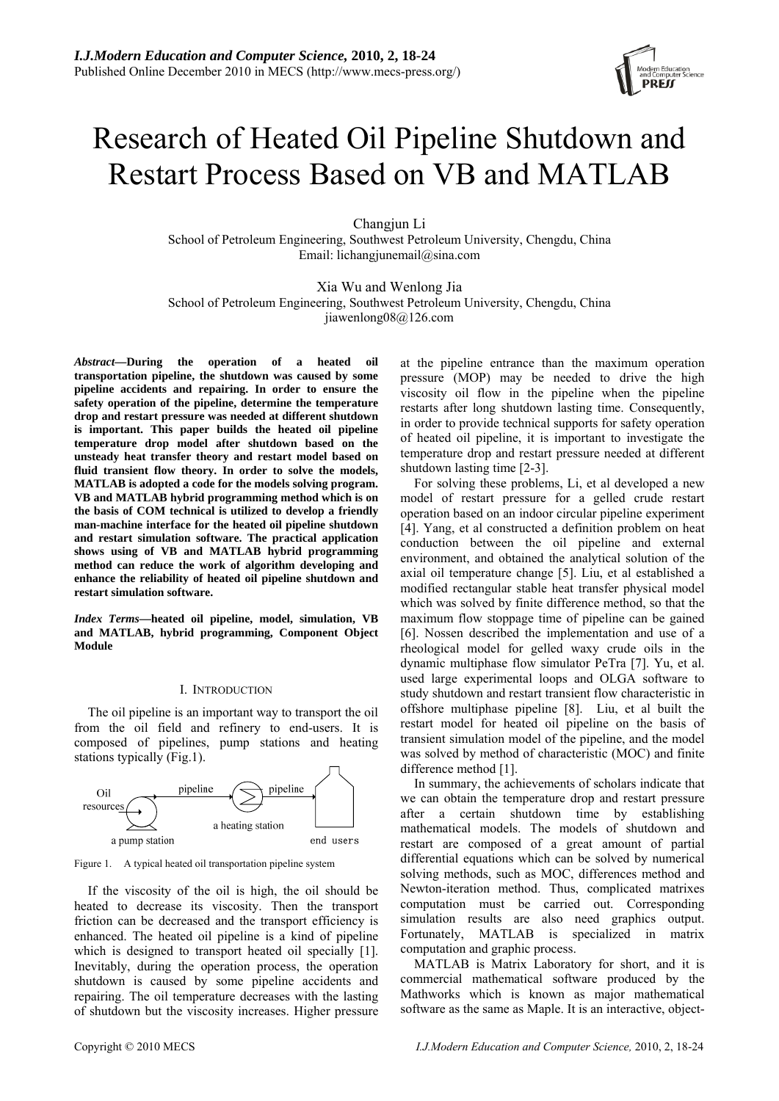# Research of Heated Oil Pipeline Shutdown and Restart Process Based on VB and MATLAB

Changiun Li School of Petroleum Engineering, Southwest Petroleum University, Chengdu, China Email: lichangjunemail@sina.com

Xia Wu and Wenlong Jia School of Petroleum Engineering, Southwest Petroleum University, Chengdu, China jiawenlong08@126.com

*Abstract***—During the operation of a heated oil transportation pipeline, the shutdown was caused by some pipeline accidents and repairing. In order to ensure the safety operation of the pipeline, determine the temperature drop and restart pressure was needed at different shutdown is important. This paper builds the heated oil pipeline temperature drop model after shutdown based on the unsteady heat transfer theory and restart model based on fluid transient flow theory. In order to solve the models, MATLAB is adopted a code for the models solving program. VB and MATLAB hybrid programming method which is on the basis of COM technical is utilized to develop a friendly man-machine interface for the heated oil pipeline shutdown and restart simulation software. The practical application shows using of VB and MATLAB hybrid programming method can reduce the work of algorithm developing and enhance the reliability of heated oil pipeline shutdown and restart simulation software.** 

*Index Terms***—heated oil pipeline, model, simulation, VB and MATLAB, hybrid programming, Component Object Module** 

#### I. INTRODUCTION

The oil pipeline is an important way to transport the oil from the oil field and refinery to end-users. It is composed of pipelines, pump stations and heating stations typically (Fig.1).



Figure 1. A typical heated oil transportation pipeline system

If the viscosity of the oil is high, the oil should be heated to decrease its viscosity. Then the transport friction can be decreased and the transport efficiency is enhanced. The heated oil pipeline is a kind of pipeline which is designed to transport heated oil specially [1]. Inevitably, during the operation process, the operation shutdown is caused by some pipeline accidents and repairing. The oil temperature decreases with the lasting of shutdown but the viscosity increases. Higher pressure at the pipeline entrance than the maximum operation pressure (MOP) may be needed to drive the high viscosity oil flow in the pipeline when the pipeline restarts after long shutdown lasting time. Consequently, in order to provide technical supports for safety operation of heated oil pipeline, it is important to investigate the temperature drop and restart pressure needed at different shutdown lasting time [2-3].

For solving these problems, Li, et al developed a new model of restart pressure for a gelled crude restart operation based on an indoor circular pipeline experiment [4]. Yang, et al constructed a definition problem on heat conduction between the oil pipeline and external environment, and obtained the analytical solution of the axial oil temperature change [5]. Liu, et al established a modified rectangular stable heat transfer physical model which was solved by finite difference method, so that the maximum flow stoppage time of pipeline can be gained [6]. Nossen described the implementation and use of a rheological model for gelled waxy crude oils in the dynamic multiphase flow simulator PeTra [7]. Yu, et al. used large experimental loops and OLGA software to study shutdown and restart transient flow characteristic in offshore multiphase pipeline [8]. Liu, et al built the restart model for heated oil pipeline on the basis of transient simulation model of the pipeline, and the model was solved by method of characteristic (MOC) and finite difference method [1].

In summary, the achievements of scholars indicate that we can obtain the temperature drop and restart pressure after a certain shutdown time by establishing mathematical models. The models of shutdown and restart are composed of a great amount of partial differential equations which can be solved by numerical solving methods, such as MOC, differences method and Newton-iteration method. Thus, complicated matrixes computation must be carried out. Corresponding simulation results are also need graphics output. Fortunately, MATLAB is specialized in matrix computation and graphic process.

MATLAB is Matrix Laboratory for short, and it is commercial mathematical software produced by the Mathworks which is known as major mathematical software as the same as Maple. It is an interactive, object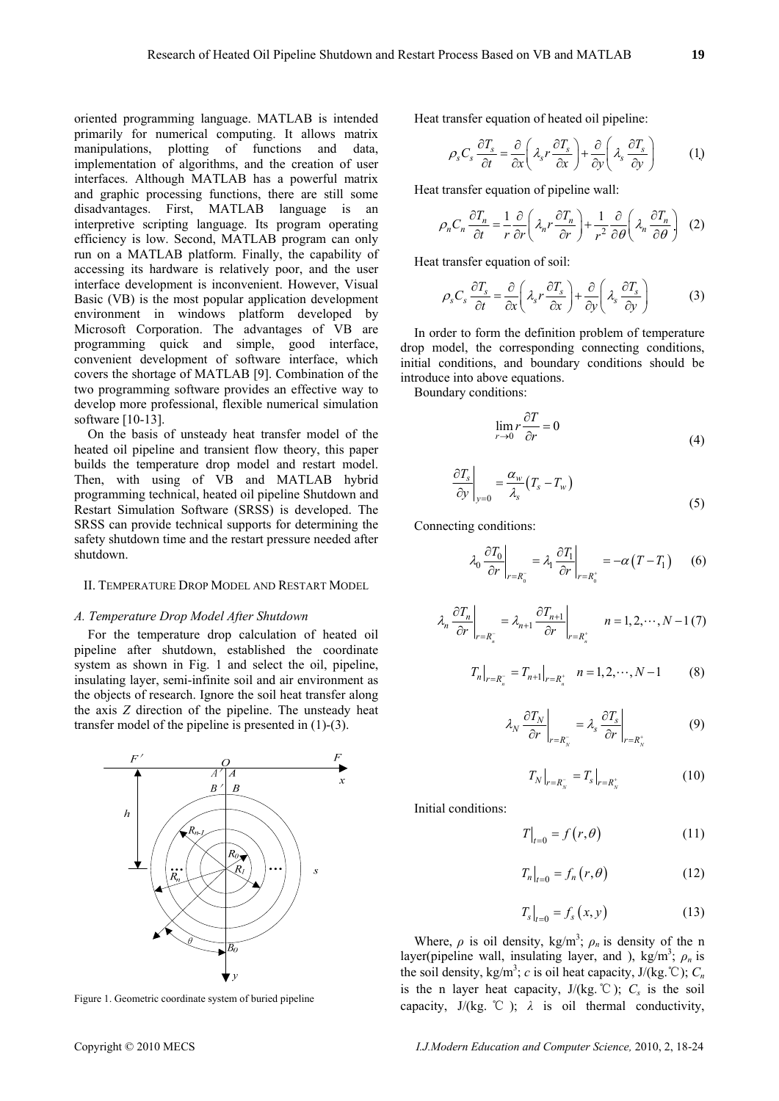oriented programming language. MATLAB is intended primarily for numerical computing. It allows matrix manipulations, plotting of functions and data, implementation of algorithms, and the creation of user interfaces. Although MATLAB has a powerful matrix and graphic processing functions, there are still some disadvantages. First, MATLAB language is an interpretive scripting language. Its program operating efficiency is low. Second, MATLAB program can only run on a MATLAB platform. Finally, the capability of accessing its hardware is relatively poor, and the user interface development is inconvenient. However, Visual Basic (VB) is the most popular application development environment in windows platform developed by Microsoft Corporation. The advantages of VB are programming quick and simple, good interface, convenient development of software interface, which covers the shortage of MATLAB [9]. Combination of the two programming software provides an effective way to develop more professional, flexible numerical simulation software [10-13].

On the basis of unsteady heat transfer model of the heated oil pipeline and transient flow theory, this paper builds the temperature drop model and restart model. Then, with using of VB and MATLAB hybrid programming technical, heated oil pipeline Shutdown and Restart Simulation Software (SRSS) is developed. The SRSS can provide technical supports for determining the safety shutdown time and the restart pressure needed after shutdown.

#### II. TEMPERATURE DROP MODEL AND RESTART MODEL

# *A. Temperature Drop Model After Shutdown*

For the temperature drop calculation of heated oil pipeline after shutdown, established the coordinate system as shown in Fig. 1 and select the oil, pipeline, insulating layer, semi-infinite soil and air environment as the objects of research. Ignore the soil heat transfer along the axis *Z* direction of the pipeline. The unsteady heat transfer model of the pipeline is presented in (1)-(3).



Figure 1. Geometric coordinate system of buried pipeline

Heat transfer equation of heated oil pipeline:

$$
\rho_s C_s \frac{\partial T_s}{\partial t} = \frac{\partial}{\partial x} \left( \lambda_s r \frac{\partial T_s}{\partial x} \right) + \frac{\partial}{\partial y} \left( \lambda_s \frac{\partial T_s}{\partial y} \right) \tag{1}
$$

Heat transfer equation of pipeline wall:

$$
\rho_n C_n \frac{\partial T_n}{\partial t} = \frac{1}{r} \frac{\partial}{\partial r} \left( \lambda_n r \frac{\partial T_n}{\partial r} \right) + \frac{1}{r^2} \frac{\partial}{\partial \theta} \left( \lambda_n \frac{\partial T_n}{\partial \theta} \right) (2)
$$

Heat transfer equation of soil:

$$
\rho_s C_s \frac{\partial T_s}{\partial t} = \frac{\partial}{\partial x} \left( \lambda_s r \frac{\partial T_s}{\partial x} \right) + \frac{\partial}{\partial y} \left( \lambda_s \frac{\partial T_s}{\partial y} \right) \tag{3}
$$

In order to form the definition problem of temperature drop model, the corresponding connecting conditions, initial conditions, and boundary conditions should be introduce into above equations.

Boundary conditions:

$$
\lim_{r \to 0} r \frac{\partial T}{\partial r} = 0
$$
\n(4)

$$
\left. \frac{\partial T_s}{\partial y} \right|_{y=0} = \frac{\alpha_w}{\lambda_s} (T_s - T_w) \tag{5}
$$

Connecting conditions:

$$
\lambda_0 \left. \frac{\partial T_0}{\partial r} \right|_{r=R_0^-} = \lambda_1 \left. \frac{\partial T_1}{\partial r} \right|_{r=R_0^+} = -\alpha \left( T - T_1 \right) \tag{6}
$$

$$
\lambda_n \left. \frac{\partial T_n}{\partial r} \right|_{r=R_n^-} = \lambda_{n+1} \left. \frac{\partial T_{n+1}}{\partial r} \right|_{r=R_n^+} \qquad n = 1, 2, \cdots, N-1 \, (7)
$$

$$
T_n\big|_{r=R_n^-} = T_{n+1}\big|_{r=R_n^+} \quad n = 1, 2, \cdots, N-1 \tag{8}
$$

$$
\lambda_N \left. \frac{\partial T_N}{\partial r} \right|_{r=R_N^-} = \lambda_s \left. \frac{\partial T_s}{\partial r} \right|_{r=R_N^+}
$$
 (9)

$$
T_N|_{r=R_N^-} = T_s|_{r=R_N^+}
$$
 (10)

Initial conditions:

$$
T\big|_{t=0} = f(r,\theta) \tag{11}
$$

$$
T_n\big|_{t=0} = f_n(r,\theta) \tag{12}
$$

$$
T_s\big|_{t=0} = f_s(x, y) \tag{13}
$$

Where,  $\rho$  is oil density, kg/m<sup>3</sup>;  $\rho_n$  is density of the n layer(pipeline wall, insulating layer, and ), kg/m<sup>3</sup>;  $\rho_n$  is the soil density, kg/m<sup>3</sup>; *c* is oil heat capacity, J/(kg. °C);  $C_n$ is the n layer heat capacity,  $J/(kg. °C)$ ;  $C_s$  is the soil capacity,  $J/(kg. \degree C)$ ;  $\lambda$  is oil thermal conductivity,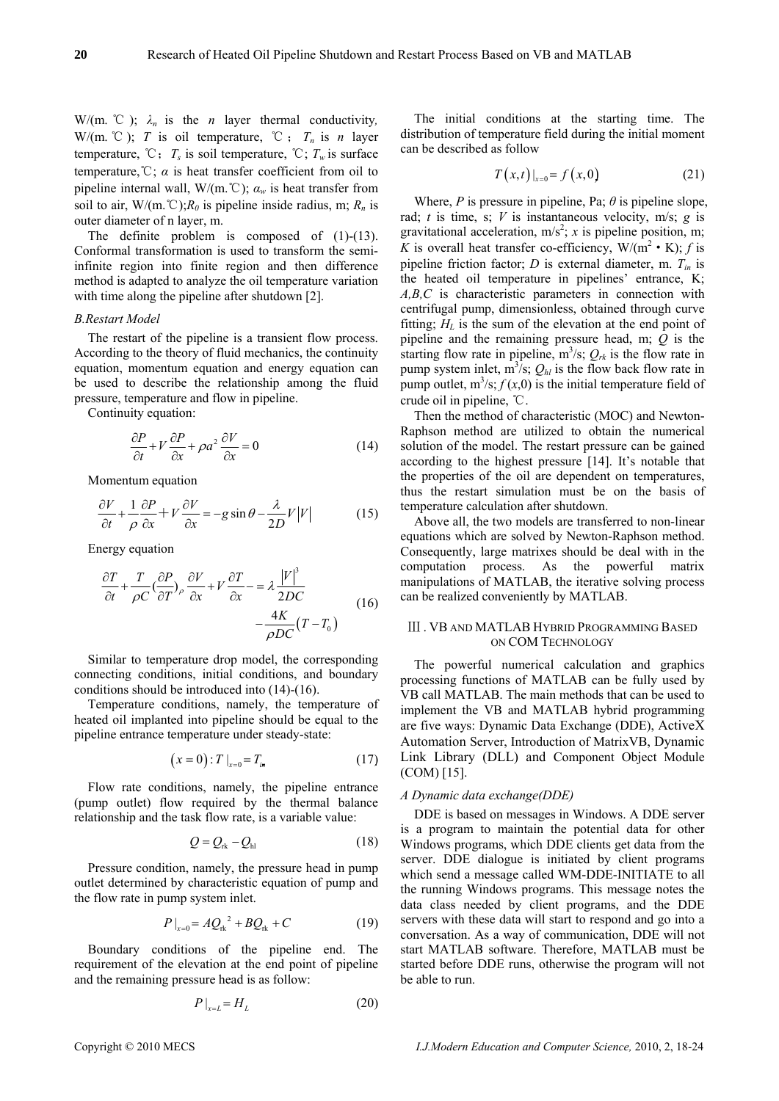W/(m.  $\mathcal{C}$ );  $\lambda_n$  is the *n* layer thermal conductivity, W/(m.  $\mathbb{C}$ ); *T* is oil temperature,  $\mathbb{C}$ ; *T<sub>n</sub>* is *n* layer temperature,  $\mathcal{C}$ ;  $T_s$  is soil temperature,  $\mathcal{C}$ ;  $T_w$  is surface temperature,  $\mathbb{C}$ ;  $\alpha$  is heat transfer coefficient from oil to pipeline internal wall, W/(m.°C);  $\alpha_w$  is heat transfer from soil to air, W/(m.  $\mathbb{C}$ ); $R_0$  is pipeline inside radius, m;  $R_n$  is outer diameter of n layer, m.

The definite problem is composed of  $(1)-(13)$ . Conformal transformation is used to transform the semiinfinite region into finite region and then difference method is adapted to analyze the oil temperature variation with time along the pipeline after shutdown [2].

# *B.Restart Model*

The restart of the pipeline is a transient flow process. According to the theory of fluid mechanics, the continuity equation, momentum equation and energy equation can be used to describe the relationship among the fluid pressure, temperature and flow in pipeline.

Continuity equation:

$$
\frac{\partial P}{\partial t} + V \frac{\partial P}{\partial x} + \rho a^2 \frac{\partial V}{\partial x} = 0
$$
 (14)

Momentum equation

$$
\frac{\partial V}{\partial t} + \frac{1}{\rho} \frac{\partial P}{\partial x} + V \frac{\partial V}{\partial x} = -g \sin \theta - \frac{\lambda}{2D} V |V|
$$
 (15)

Energy equation

$$
\frac{\partial T}{\partial t} + \frac{T}{\rho C} \left(\frac{\partial P}{\partial T}\right), \frac{\partial V}{\partial x} + V \frac{\partial T}{\partial x} - \frac{\lambda}{2DC} \frac{|V|^3}{2DC} - \frac{4K}{\rho DC} (T - T_0)
$$
\n(16)

Similar to temperature drop model, the corresponding connecting conditions, initial conditions, and boundary conditions should be introduced into (14)-(16).

Temperature conditions, namely, the temperature of heated oil implanted into pipeline should be equal to the pipeline entrance temperature under steady-state:

$$
(x = 0): T \big|_{x=0} = T_{i\star} \tag{17}
$$

Flow rate conditions, namely, the pipeline entrance (pump outlet) flow required by the thermal balance relationship and the task flow rate, is a variable value:

$$
Q = Q_{\rm rk} - Q_{\rm hl} \tag{18}
$$

Pressure condition, namely, the pressure head in pump outlet determined by characteristic equation of pump and the flow rate in pump system inlet.

$$
P|_{x=0} = AQ_{\rm rk}^2 + BQ_{\rm rk} + C \tag{19}
$$

Boundary conditions of the pipeline end. The requirement of the elevation at the end point of pipeline and the remaining pressure head is as follow:

$$
P\big|_{x=L} = H_L \tag{20}
$$

The initial conditions at the starting time. The distribution of temperature field during the initial moment can be described as follow

$$
T(x,t)|_{x=0} = f(x,0)
$$
 (21)

Where, *P* is pressure in pipeline, Pa;  $\theta$  is pipeline slope, rad; *t* is time, s; *V* is instantaneous velocity, m/s; *g* is gravitational acceleration,  $m/s^2$ ; *x* is pipeline position, m; *K* is overall heat transfer co-efficiency,  $W/(m^2 \cdot K)$ ; *f* is pipeline friction factor; *D* is external diameter, m. *Tin* is the heated oil temperature in pipelines' entrance, K; *A,B,C* is characteristic parameters in connection with centrifugal pump, dimensionless, obtained through curve fitting;  $H<sub>L</sub>$  is the sum of the elevation at the end point of pipeline and the remaining pressure head, m; *Q* is the starting flow rate in pipeline,  $m^3/s$ ;  $Q_{rk}$  is the flow rate in pump system inlet,  $m^3/s$ ;  $Q_{hl}$  is the flow back flow rate in pump outlet,  $m^3$ /s;  $f(x,0)$  is the initial temperature field of crude oil in pipeline, ℃.

Then the method of characteristic (MOC) and Newton-Raphson method are utilized to obtain the numerical solution of the model. The restart pressure can be gained according to the highest pressure [14]. It's notable that the properties of the oil are dependent on temperatures, thus the restart simulation must be on the basis of temperature calculation after shutdown.

Above all, the two models are transferred to non-linear equations which are solved by Newton-Raphson method. Consequently, large matrixes should be deal with in the computation process. As the powerful matrix manipulations of MATLAB, the iterative solving process can be realized conveniently by MATLAB.

# Ⅲ . VB AND MATLAB HYBRID PROGRAMMING BASED ON COM TECHNOLOGY

The powerful numerical calculation and graphics processing functions of MATLAB can be fully used by VB call MATLAB. The main methods that can be used to implement the VB and MATLAB hybrid programming are five ways: Dynamic Data Exchange (DDE), ActiveX Automation Server, Introduction of MatrixVB, Dynamic Link Library (DLL) and Component Object Module (COM) [15].

#### *A Dynamic data exchange(DDE)*

DDE is based on messages in Windows. A DDE server is a program to maintain the potential data for other Windows programs, which DDE clients get data from the server. DDE dialogue is initiated by client programs which send a message called WM-DDE-INITIATE to all the running Windows programs. This message notes the data class needed by client programs, and the DDE servers with these data will start to respond and go into a conversation. As a way of communication, DDE will not start MATLAB software. Therefore, MATLAB must be started before DDE runs, otherwise the program will not be able to run.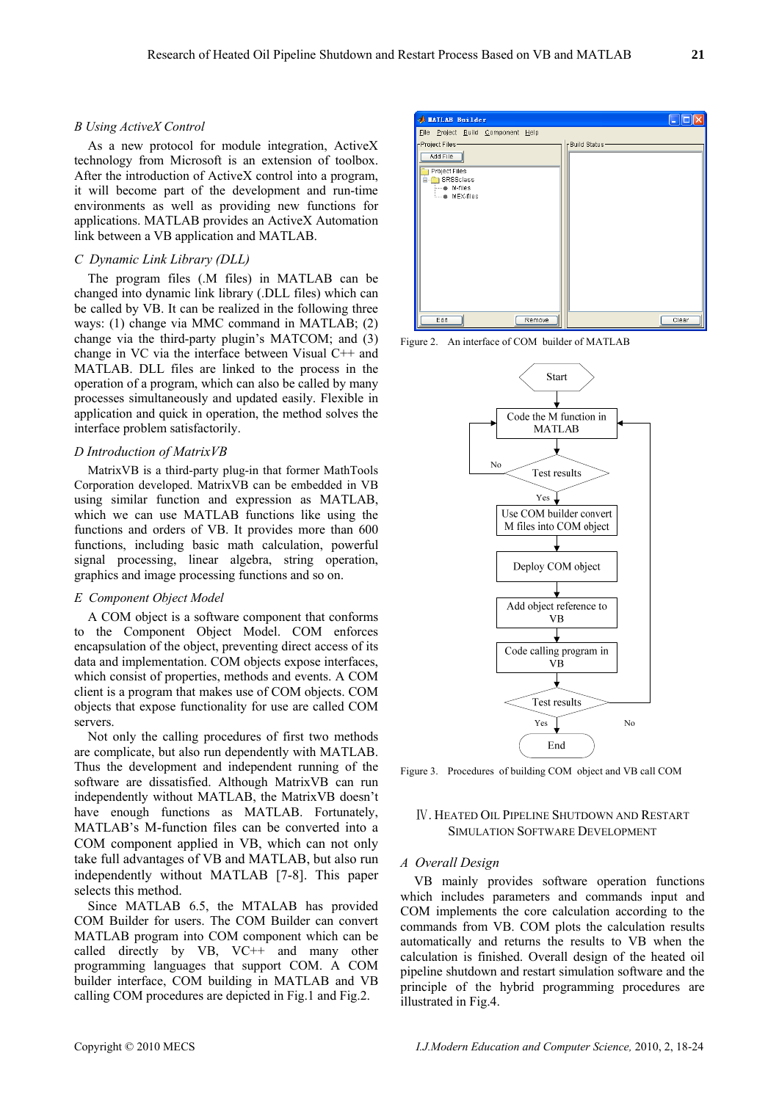#### *B Using ActiveX Control*

As a new protocol for module integration, ActiveX technology from Microsoft is an extension of toolbox. After the introduction of ActiveX control into a program, it will become part of the development and run-time environments as well as providing new functions for applications. MATLAB provides an ActiveX Automation link between a VB application and MATLAB.

# *C Dynamic Link Library (DLL)*

The program files (.M files) in MATLAB can be changed into dynamic link library (.DLL files) which can be called by VB. It can be realized in the following three ways: (1) change via MMC command in MATLAB; (2) change via the third-party plugin's MATCOM; and (3) change in VC via the interface between Visual C++ and MATLAB. DLL files are linked to the process in the operation of a program, which can also be called by many processes simultaneously and updated easily. Flexible in application and quick in operation, the method solves the interface problem satisfactorily.

# *D Introduction of MatrixVB*

MatrixVB is a third-party plug-in that former MathTools Corporation developed. MatrixVB can be embedded in VB using similar function and expression as MATLAB, which we can use MATLAB functions like using the functions and orders of VB. It provides more than 600 functions, including basic math calculation, powerful signal processing, linear algebra, string operation, graphics and image processing functions and so on.

#### *E Component Object Model*

A COM object is a software component that conforms to the Component Object Model. COM enforces encapsulation of the object, preventing direct access of its data and implementation. COM objects expose interfaces, which consist of properties, methods and events. A COM client is a program that makes use of COM objects. COM objects that expose functionality for use are called COM servers.

Not only the calling procedures of first two methods are complicate, but also run dependently with MATLAB. Thus the development and independent running of the software are dissatisfied. Although MatrixVB can run independently without MATLAB, the MatrixVB doesn't have enough functions as MATLAB. Fortunately, MATLAB's M-function files can be converted into a COM component applied in VB, which can not only take full advantages of VB and MATLAB, but also run independently without MATLAB [7-8]. This paper selects this method.

Since MATLAB 6.5, the MTALAB has provided COM Builder for users. The COM Builder can convert MATLAB program into COM component which can be called directly by VB, VC<sup>++</sup> and many other programming languages that support COM. A COM builder interface, COM building in MATLAB and VB calling COM procedures are depicted in Fig.1 and Fig.2.



Figure 2. An interface of COM builder of MATLAB



Figure 3. Procedures of building COM object and VB call COM

# Ⅳ. HEATED OIL PIPELINE SHUTDOWN AND RESTART SIMULATION SOFTWARE DEVELOPMENT

# *A Overall Design*

VB mainly provides software operation functions which includes parameters and commands input and COM implements the core calculation according to the commands from VB. COM plots the calculation results automatically and returns the results to VB when the calculation is finished. Overall design of the heated oil pipeline shutdown and restart simulation software and the principle of the hybrid programming procedures are illustrated in Fig.4.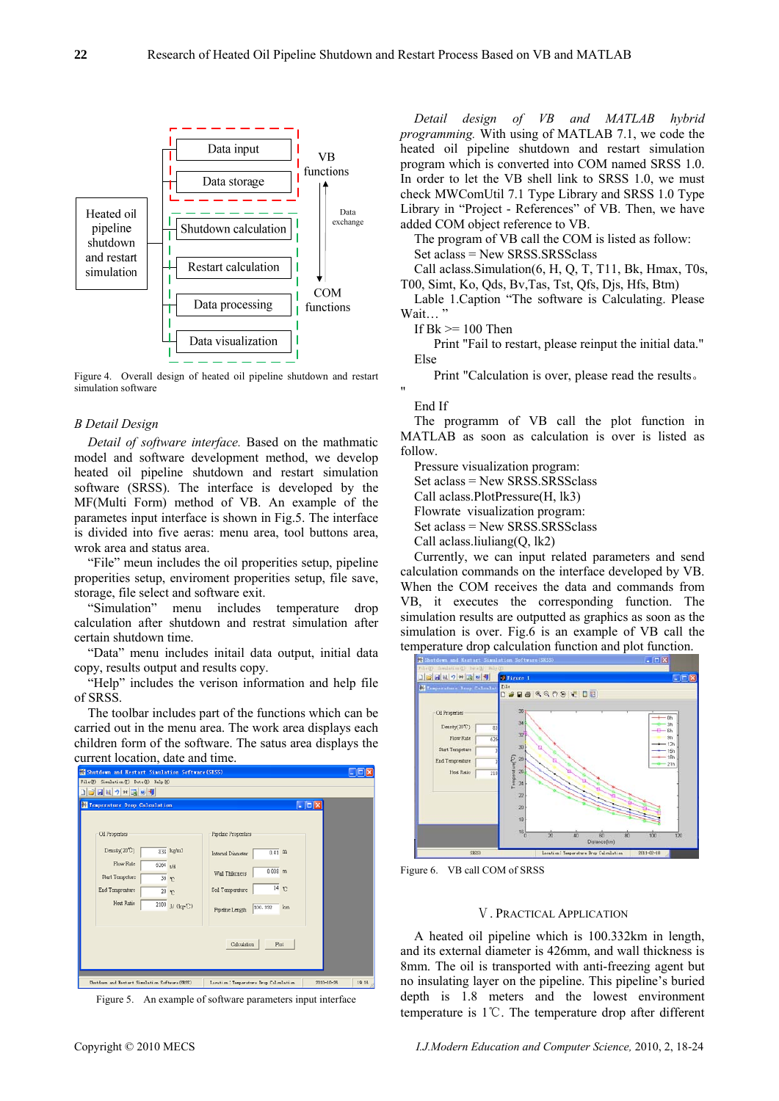

Figure 4. Overall design of heated oil pipeline shutdown and restart simulation software

# *B Detail Design*

*Detail of software interface.* Based on the mathmatic model and software development method, we develop heated oil pipeline shutdown and restart simulation software (SRSS). The interface is developed by the MF(Multi Form) method of VB. An example of the parametes input interface is shown in Fig.5. The interface is divided into five aeras: menu area, tool buttons area, wrok area and status area.

"File" meun includes the oil properities setup, pipeline properities setup, enviroment properities setup, file save, storage, file select and software exit.

"Simulation" menu includes temperature drop calculation after shutdown and restrat simulation after certain shutdown time.

"Data" menu includes initail data output, initial data copy, results output and results copy.

"Help" includes the verison information and help file of SRSS.

The toolbar includes part of the functions which can be carried out in the menu area. The work area displays each children form of the software. The satus area displays the



Figure 5. An example of software parameters input interface

*Detail design of VB and MATLAB hybrid programming.* With using of MATLAB 7.1, we code the heated oil pipeline shutdown and restart simulation program which is converted into COM named SRSS 1.0. In order to let the VB shell link to SRSS 1.0, we must check MWComUtil 7.1 Type Library and SRSS 1.0 Type Library in "Project - References" of VB. Then, we have added COM object reference to VB.

The program of VB call the COM is listed as follow: Set aclass = New SRSS.SRSSclass

Call aclass.Simulation(6, H, Q, T, T11, Bk, Hmax, T0s, T00, Simt, Ko, Qds, Bv,Tas, Tst, Qfs, Djs, Hfs, Btm)

Lable 1.Caption "The software is Calculating. Please Wait...

If  $Bk \ge 100$  Then

Print "Fail to restart, please reinput the initial data." Else

Print "Calculation is over, please read the results。

#### End If

"

The programm of VB call the plot function in MATLAB as soon as calculation is over is listed as follow.

Pressure visualization program:

Set aclass = New SRSS.SRSSclass

Call aclass.PlotPressure(H, lk3)

Flowrate visualization program:

Set aclass = New SRSS.SRSSclass

Call aclass.liuliang(Q, lk2)

Currently, we can input related parameters and send calculation commands on the interface developed by VB. When the COM receives the data and commands from VB, it executes the corresponding function. The simulation results are outputted as graphics as soon as the simulation is over. Fig.6 is an example of VB call the temperature drop calculation function and plot function.



Figure 6. VB call COM of SRSS

# Ⅴ. PRACTICAL APPLICATION

A heated oil pipeline which is 100.332km in length, and its external diameter is 426mm, and wall thickness is 8mm. The oil is transported with anti-freezing agent but no insulating layer on the pipeline. This pipeline's buried depth is 1.8 meters and the lowest environment temperature is 1℃. The temperature drop after different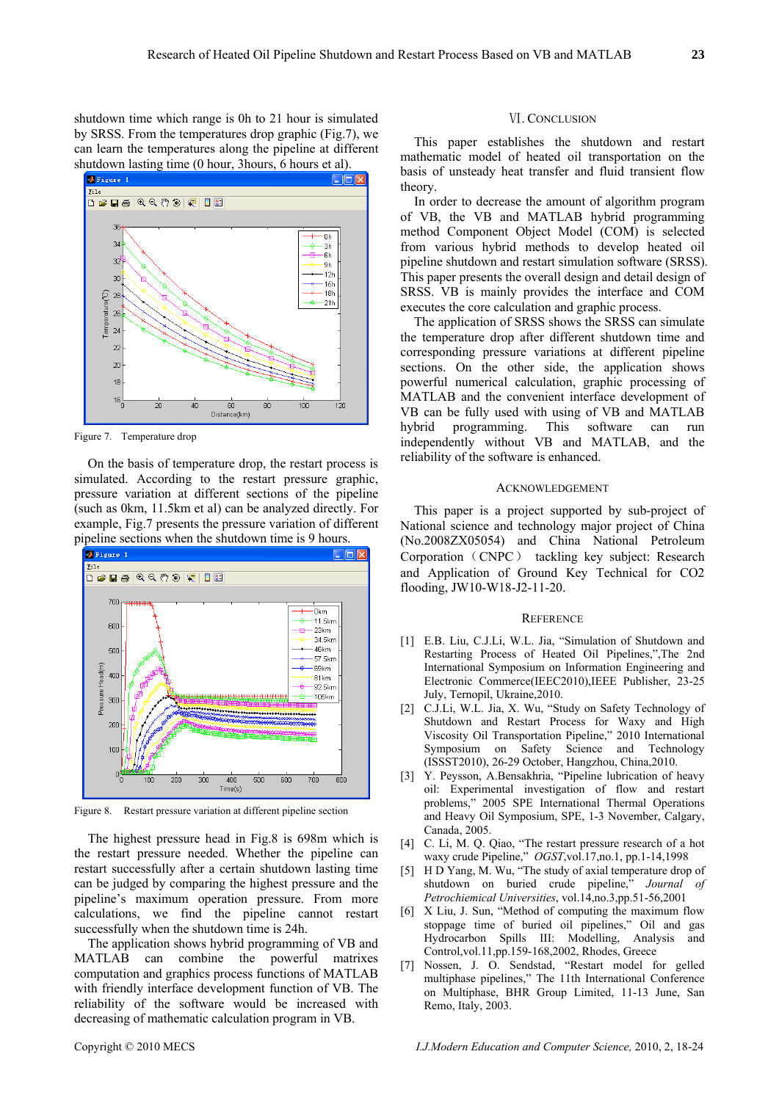shutdown time which range is 0h to 21 hour is simulated by SRSS. From the temperatures drop graphic (Fig.7), we can learn the temperatures along the pipeline at different shutdown lasting time (0 hour, 3hours, 6 hours et al).



Figure 7. Temperature drop

On the basis of temperature drop, the restart process is simulated. According to the restart pressure graphic, pressure variation at different sections of the pipeline (such as 0km, 11.5km et al) can be analyzed directly. For example, Fig.7 presents the pressure variation of different pipeline sections when the shutdown time is 9 hours.



Figure 8. Restart pressure variation at different pipeline section

The highest pressure head in Fig.8 is 698m which is the restart pressure needed. Whether the pipeline can restart successfully after a certain shutdown lasting time can be judged by comparing the highest pressure and the pipeline's maximum operation pressure. From more calculations, we find the pipeline cannot restart successfully when the shutdown time is 24h.

The application shows hybrid programming of VB and MATLAB can combine the powerful matrixes computation and graphics process functions of MATLAB with friendly interface development function of VB. The reliability of the software would be increased with decreasing of mathematic calculation program in VB.

This paper establishes the shutdown and restart mathematic model of heated oil transportation on the basis of unsteady heat transfer and fluid transient flow theory.

In order to decrease the amount of algorithm program of VB, the VB and MATLAB hybrid programming method Component Object Model (COM) is selected from various hybrid methods to develop heated oil pipeline shutdown and restart simulation software (SRSS). This paper presents the overall design and detail design of SRSS. VB is mainly provides the interface and COM executes the core calculation and graphic process.

The application of SRSS shows the SRSS can simulate the temperature drop after different shutdown time and corresponding pressure variations at different pipeline sections. On the other side, the application shows powerful numerical calculation, graphic processing of MATLAB and the convenient interface development of VB can be fully used with using of VB and MATLAB hybrid programming. This software can run independently without VB and MATLAB, and the reliability of the software is enhanced.

#### ACKNOWLEDGEMENT

This paper is a project supported by sub-project of National science and technology major project of China (No.2008ZX05054) and China National Petroleum Corporation (CNPC) tackling key subject: Research and Application of Ground Key Technical for CO2 flooding, JW10-W18-J2-11-20.

#### **REFERENCE**

- [1] E.B. Liu, C.J.Li, W.L. Jia, "Simulation of Shutdown and Restarting Process of Heated Oil Pipelines,",The 2nd International Symposium on Information Engineering and Electronic Commerce(IEEC2010),IEEE Publisher, 23-25 July, Ternopil, Ukraine,2010.
- [2] C.J.Li, W.L. Jia, X. Wu, "Study on Safety Technology of Shutdown and Restart Process for Waxy and High Viscosity Oil Transportation Pipeline," 2010 International Symposium on Safety Science and Technology (ISSST2010), 26-29 October, Hangzhou, China,2010.
- [3] Y. Peysson, A.Bensakhria, "Pipeline lubrication of heavy oil: Experimental investigation of flow and restart problems," 2005 SPE International Thermal Operations and Heavy Oil Symposium, SPE, 1-3 November, Calgary, Canada, 2005.
- [4] C. Li, M. Q. Qiao, "The restart pressure research of a hot waxy crude Pipeline," *OGST*,vol.17,no.1, pp.1-14,1998
- [5] H D Yang, M. Wu, "The study of axial temperature drop of shutdown on buried crude pipeline," *Journal of Petrochiemical Universities*, vol.14,no.3,pp.51-56,2001
- [6] X Liu, J. Sun, "Method of computing the maximum flow stoppage time of buried oil pipelines," Oil and gas Hydrocarbon Spills III: Modelling, Analysis and Control,vol.11,pp.159-168,2002, Rhodes, Greece
- [7] Nossen, J. O. Sendstad, "Restart model for gelled multiphase pipelines," The 11th International Conference on Multiphase, BHR Group Limited, 11-13 June, San Remo, Italy, 2003.